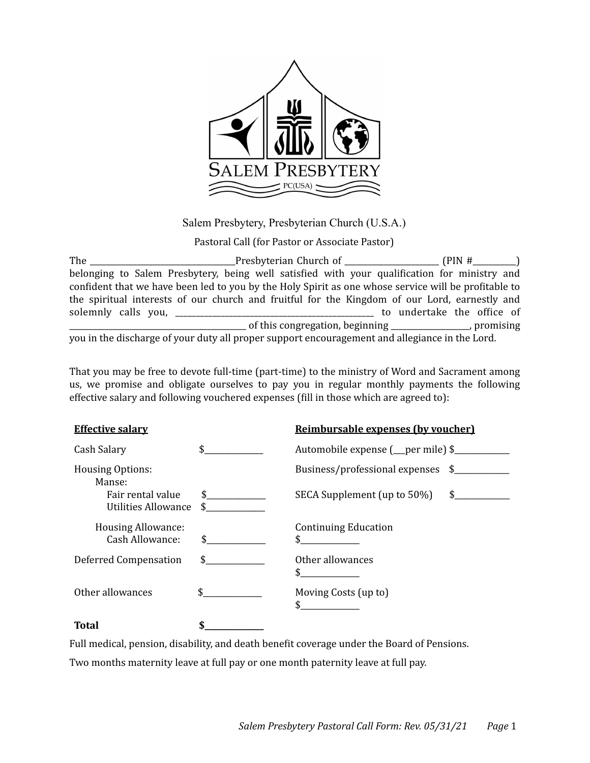

Salem Presbytery, Presbyterian Church (U.S.A.)

Pastoral Call (for Pastor or Associate Pastor)

The  $\Box$  Presbyterian Church of  $\Box$  (PIN # belonging to Salem Presbytery, being well satisfied with your qualification for ministry and confident that we have been led to you by the Holy Spirit as one whose service will be profitable to the spiritual interests of our church and fruitful for the Kingdom of our Lord, earnestly and solemnly calls you, \_\_\_\_\_\_\_\_\_\_\_\_\_\_\_\_\_\_\_\_\_\_\_\_\_\_\_\_\_\_\_\_\_\_\_\_\_\_\_\_\_\_\_\_\_\_\_\_ to undertake the office of Log and this congregation, beginning \_\_\_\_\_\_\_\_\_\_\_\_\_\_\_\_\_, promising you in the discharge of your duty all proper support encouragement and allegiance in the Lord.

That you may be free to devote full-time (part-time) to the ministry of Word and Sacrament among us, we promise and obligate ourselves to pay you in regular monthly payments the following effective salary and following vouchered expenses (fill in those which are agreed to):

| <b>Effective salary</b>                                                       |                     | Reimbursable expenses (by voucher)                                     |  |  |  |  |  |  |
|-------------------------------------------------------------------------------|---------------------|------------------------------------------------------------------------|--|--|--|--|--|--|
| Cash Salary                                                                   | $\sim$              | Automobile expense (_per mile) \$                                      |  |  |  |  |  |  |
| <b>Housing Options:</b><br>Manse:<br>Fair rental value<br>Utilities Allowance | $\mathsf{\$}$<br>\$ | Business/professional expenses \$<br>\$<br>SECA Supplement (up to 50%) |  |  |  |  |  |  |
| <b>Housing Allowance:</b><br>Cash Allowance:                                  | \$                  | <b>Continuing Education</b>                                            |  |  |  |  |  |  |
| Deferred Compensation                                                         | \$.                 | Other allowances<br>\$                                                 |  |  |  |  |  |  |
| Other allowances                                                              |                     | Moving Costs (up to)<br>\$                                             |  |  |  |  |  |  |
| Total                                                                         |                     |                                                                        |  |  |  |  |  |  |

Full medical, pension, disability, and death benefit coverage under the Board of Pensions.

Two months maternity leave at full pay or one month paternity leave at full pay.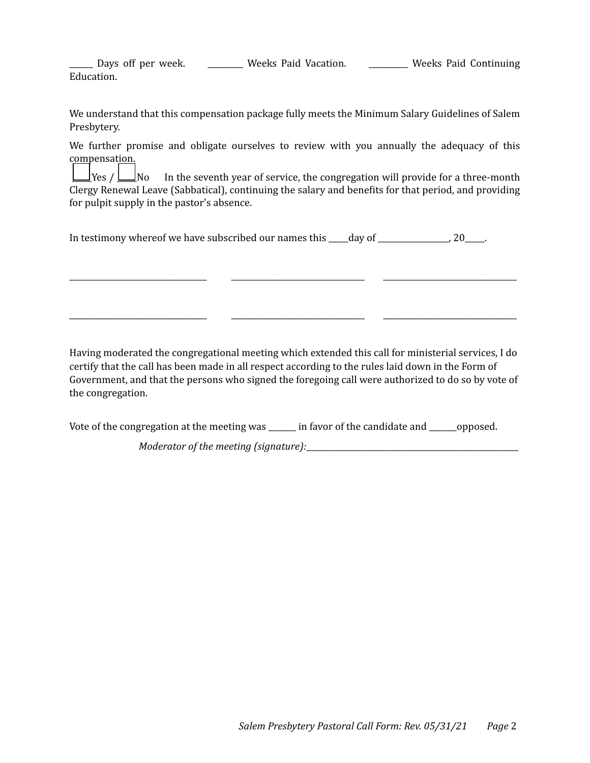| Days off per week.<br>$\begin{tabular}{cccccc} \multicolumn{2}{c}{} & \multicolumn{2}{c}{} & \multicolumn{2}{c}{} & \multicolumn{2}{c}{} & \multicolumn{2}{c}{} & \multicolumn{2}{c}{} & \multicolumn{2}{c}{} & \multicolumn{2}{c}{} & \multicolumn{2}{c}{} & \multicolumn{2}{c}{} & \multicolumn{2}{c}{} & \multicolumn{2}{c}{} & \multicolumn{2}{c}{} & \multicolumn{2}{c}{} & \multicolumn{2}{c}{} & \multicolumn{2}{c}{} & \multicolumn{2}{c}{} & \multicolumn{2}{c}{} & \multicolumn{2}{c}{} & \mult$ | Weeks Paid Vacation. | Weeks Paid Continuing |
|------------------------------------------------------------------------------------------------------------------------------------------------------------------------------------------------------------------------------------------------------------------------------------------------------------------------------------------------------------------------------------------------------------------------------------------------------------------------------------------------------------|----------------------|-----------------------|
| Education.                                                                                                                                                                                                                                                                                                                                                                                                                                                                                                 |                      |                       |

We understand that this compensation package fully meets the Minimum Salary Guidelines of Salem Presbytery.

We further promise and obligate ourselves to review with you annually the adequacy of this compensation. 

 $\perp$ Yes /  $\perp$ No In the seventh year of service, the congregation will provide for a three-month Clergy Renewal Leave (Sabbatical), continuing the salary and benefits for that period, and providing for pulpit supply in the pastor's absence.

\_\_\_\_\_\_\_\_\_\_\_\_\_\_\_\_\_\_\_\_\_\_\_\_\_\_\_\_\_\_\_\_\_\_\_ \_\_\_\_\_\_\_\_\_\_\_\_\_\_\_\_\_\_\_\_\_\_\_\_\_\_\_\_\_\_\_\_\_\_ \_\_\_\_\_\_\_\_\_\_\_\_\_\_\_\_\_\_\_\_\_\_\_\_\_\_\_\_\_\_\_\_\_\_ 

\_\_\_\_\_\_\_\_\_\_\_\_\_\_\_\_\_\_\_\_\_\_\_\_\_\_\_\_\_\_\_\_\_\_\_ \_\_\_\_\_\_\_\_\_\_\_\_\_\_\_\_\_\_\_\_\_\_\_\_\_\_\_\_\_\_\_\_\_\_ \_\_\_\_\_\_\_\_\_\_\_\_\_\_\_\_\_\_\_\_\_\_\_\_\_\_\_\_\_\_\_\_\_\_ 

| In testimony whereof we have subscribed our names this | day of |  |
|--------------------------------------------------------|--------|--|
|--------------------------------------------------------|--------|--|

Having moderated the congregational meeting which extended this call for ministerial services, I do certify that the call has been made in all respect according to the rules laid down in the Form of Government, and that the persons who signed the foregoing call were authorized to do so by vote of the congregation.

Vote of the congregation at the meeting was \_\_\_\_\_ in favor of the candidate and \_\_\_\_\_\_opposed.

*Moderator of the meeting (signature):*